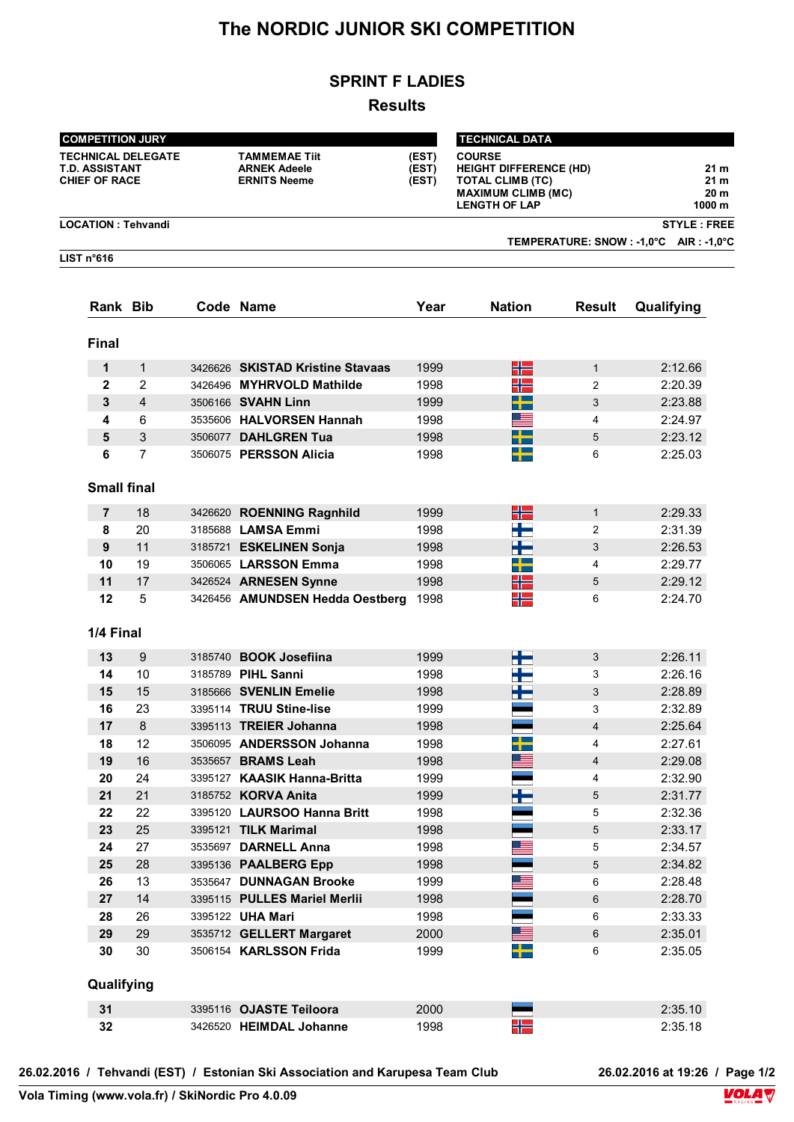# The NORDIC JUNIOR SKI COMPETITION

## **SPRINT F LADIES**

### **Results**

| <b>COMPETITION JURY</b><br><b>TECHNICAL DELEGATE</b> |                                               |  | <b>TAMMEMAE Tiit</b><br>(EST)              |                | <b>TECHNICAL DATA</b><br><b>COURSE</b>                                                                        |                |                                           |  |
|------------------------------------------------------|-----------------------------------------------|--|--------------------------------------------|----------------|---------------------------------------------------------------------------------------------------------------|----------------|-------------------------------------------|--|
|                                                      | <b>T.D. ASSISTANT</b><br><b>CHIEF OF RACE</b> |  | <b>ARNEK Adeele</b><br><b>ERNITS Neeme</b> | (EST)<br>(EST) | <b>HEIGHT DIFFERENCE (HD)</b><br><b>TOTAL CLIMB (TC)</b><br><b>MAXIMUM CLIMB (MC)</b><br><b>LENGTH OF LAP</b> |                | 21 m<br>21 <sub>m</sub><br>20 m<br>1000 m |  |
| <b>LOCATION: Tehvandi</b>                            |                                               |  |                                            |                |                                                                                                               |                | <b>STYLE: FREE</b>                        |  |
| LIST $n^{\circ}616$                                  |                                               |  |                                            |                |                                                                                                               |                | TEMPERATURE: SNOW : -1,0°C AIR : -1,0°C   |  |
|                                                      |                                               |  |                                            |                |                                                                                                               |                |                                           |  |
| Rank Bib                                             |                                               |  | Code Name                                  | Year           | <b>Nation</b>                                                                                                 | <b>Result</b>  | Qualifying                                |  |
| <b>Final</b>                                         |                                               |  |                                            |                |                                                                                                               |                |                                           |  |
| 1                                                    | $\mathbf{1}$                                  |  | 3426626 SKISTAD Kristine Stavaas           | 1999           | ╉╧                                                                                                            | $\mathbf{1}$   | 2:12.66                                   |  |
| $\mathbf{2}$                                         | 2                                             |  | 3426496 MYHRVOLD Mathilde                  | 1998           | ╉┝═                                                                                                           | $\overline{c}$ | 2:20.39                                   |  |
| 3                                                    | 4                                             |  | 3506166 SVAHN Linn                         | 1999           | <u>a ka</u><br>m                                                                                              | 3              | 2:23.88                                   |  |
| 4                                                    | 6                                             |  | 3535606 HALVORSEN Hannah                   | 1998           | <u> a</u>                                                                                                     | 4              | 2:24.97                                   |  |
| 5                                                    | 3                                             |  | 3506077 DAHLGREN Tua                       | 1998           | ╋                                                                                                             | 5              | 2:23.12                                   |  |
| 6                                                    | $\overline{7}$                                |  | 3506075 PERSSON Alicia                     | 1998           |                                                                                                               | 6              | 2:25.03                                   |  |
| <b>Small final</b>                                   |                                               |  |                                            |                |                                                                                                               |                |                                           |  |
| $\overline{7}$                                       | 18                                            |  | 3426620 ROENNING Ragnhild                  | 1999           | HĦ                                                                                                            | $\mathbf{1}$   | 2:29.33                                   |  |
| 8                                                    | 20                                            |  | 3185688 LAMSA Emmi                         | 1998           | ▚                                                                                                             | $\overline{c}$ | 2:31.39                                   |  |
| 9                                                    | 11                                            |  | 3185721 ESKELINEN Sonja                    | 1998           | H                                                                                                             | 3              | 2:26.53                                   |  |
| 10                                                   | 19                                            |  | 3506065 LARSSON Emma                       | 1998           | <u>a ka</u><br><b>The Co</b>                                                                                  | 4              | 2:29.77                                   |  |
| 11                                                   | 17                                            |  | 3426524 ARNESEN Synne                      | 1998           | ╉═                                                                                                            | 5              | 2:29.12                                   |  |
| 12                                                   | 5                                             |  | 3426456 AMUNDSEN Hedda Oestberg            | 1998           | ╬╧                                                                                                            | 6              | 2:24.70                                   |  |
| 1/4 Final                                            |                                               |  |                                            |                |                                                                                                               |                |                                           |  |
| 13                                                   | 9                                             |  | 3185740 <b>BOOK Josefiina</b>              | 1999           | ╄                                                                                                             | 3              | 2:26.11                                   |  |
| 14                                                   | 10                                            |  | 3185789 PIHL Sanni                         | 1998           | ╅═                                                                                                            | 3              | 2:26.16                                   |  |
| 15                                                   | 15                                            |  | 3185666 SVENLIN Emelie                     | 1998           | u L<br><b>. .</b>                                                                                             | 3              | 2:28.89                                   |  |
| 16                                                   | 23                                            |  | 3395114 TRUU Stine-lise                    | 1999           |                                                                                                               | 3              | 2:32.89                                   |  |
| 17                                                   | $\bf 8$                                       |  | 3395113 TREIER Johanna                     | 1998           |                                                                                                               | 4              | 2:25.64                                   |  |
| 18                                                   | 12                                            |  | 3506095 ANDERSSON Johanna                  | 1998           | ┿                                                                                                             | 4              | 2:27.61                                   |  |
| 19                                                   | 16                                            |  | 3535657 BRAMS Leah                         | 1998           | <u> I</u>                                                                                                     | 4              | 2:29.08                                   |  |
| 20                                                   | 24                                            |  | 3395127 KAASIK Hanna-Britta                | 1999           |                                                                                                               | 4              | 2:32.90                                   |  |
| 21                                                   | 21                                            |  | 3185752 KORVA Anita                        | 1999           | $\pm$                                                                                                         | 5              | 2:31.77                                   |  |
| 22                                                   | 22                                            |  | 3395120 LAURSOO Hanna Britt                | 1998           |                                                                                                               | 5              | 2:32.36                                   |  |
| 23                                                   | 25                                            |  | 3395121 TILK Marimal                       | 1998           |                                                                                                               | 5              | 2:33.17                                   |  |
| 24                                                   | 27                                            |  | 3535697 DARNELL Anna                       | 1998           |                                                                                                               | 5              | 2:34.57                                   |  |
| 25                                                   | 28                                            |  | 3395136 PAALBERG Epp                       | 1998           |                                                                                                               | 5              | 2:34.82                                   |  |
| 26                                                   | 13                                            |  | 3535647 DUNNAGAN Brooke                    | 1999           | I.                                                                                                            | 6              | 2:28.48                                   |  |
| 27                                                   | 14                                            |  | 3395115 PULLES Mariel Merlii               | 1998           |                                                                                                               | 6              | 2:28.70                                   |  |
| 28                                                   | 26                                            |  | 3395122 UHA Mari                           | 1998           |                                                                                                               | 6              | 2:33.33                                   |  |
| 29                                                   | 29                                            |  | 3535712 GELLERT Margaret                   | 2000           | <u>e </u>                                                                                                     | 6              | 2:35.01                                   |  |
| 30                                                   | 30                                            |  | 3506154 KARLSSON Frida                     | 1999           | ╉═                                                                                                            | 6              | 2:35.05                                   |  |
| Qualifying                                           |                                               |  |                                            |                |                                                                                                               |                |                                           |  |
| 31                                                   |                                               |  | 3395116 OJASTE Teiloora                    | 2000           |                                                                                                               |                | 2:35.10                                   |  |
| 32                                                   |                                               |  | 3426520 HEIMDAL Johanne                    | 1998           | ╬═                                                                                                            |                | 2:35.18                                   |  |

26.02.2016 / Tehvandi (EST) / Estonian Ski Association and Karupesa Team Club

26.02.2016 at 19:26 / Page 1/2